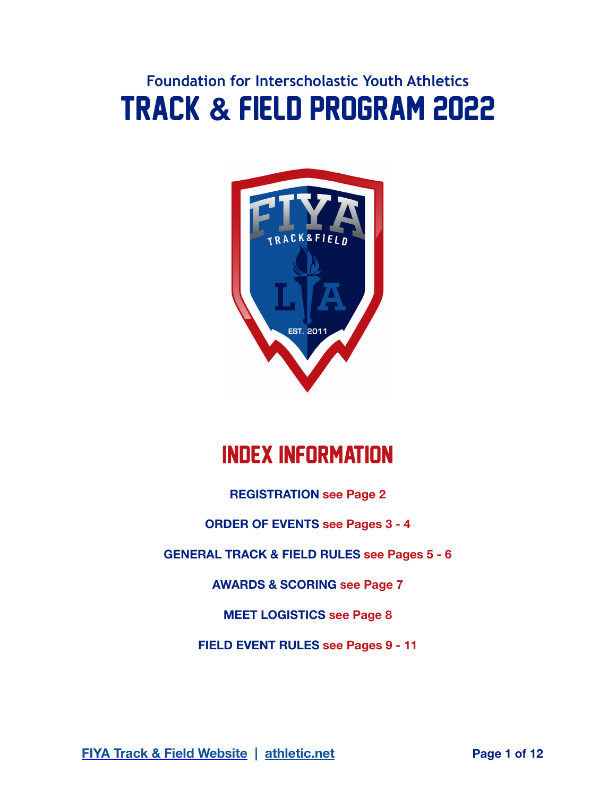# **Foundation for Interscholastic Youth Athletics** Track **&** Field Program 2022



# Index Information

**REGISTRATION see Page 2** 

**ORDER OF EVENTS see Pages 3 - 4** 

**GENERAL TRACK & FIELD RULES see Pages 5 - 6** 

**AWARDS & SCORING see Page 7** 

**MEET LOGISTICS see Page 8** 

**FIELD EVENT RULES see Pages 9 - 11** 

**[FIYA Track & Field Website](https://onfiya.org/sports/track-field/)** | **athletic.net Page 1 of 12**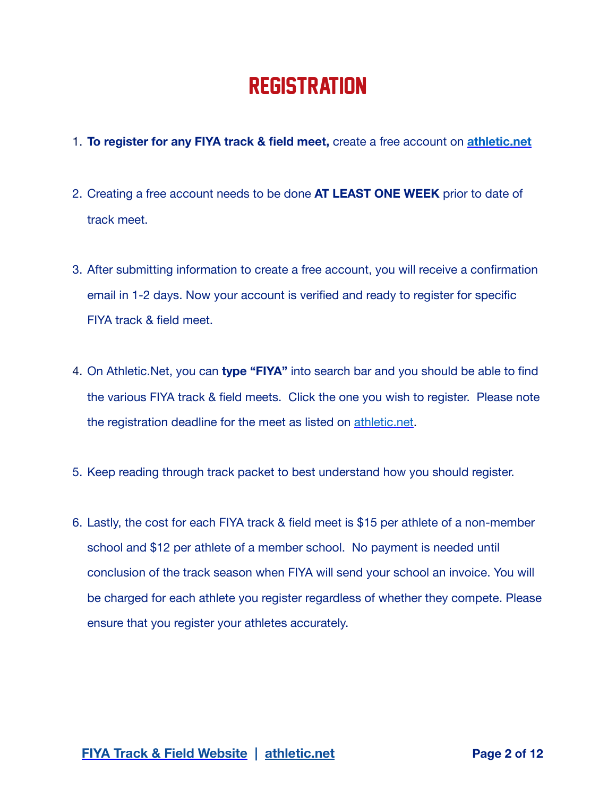### **REGISTRATION**

- 1. **To register for any FIYA track & field meet,** create a free account on **[athletic.net](http://athletic.net)**
- 2. Creating a free account needs to be done **AT LEAST ONE WEEK** prior to date of track meet.
- 3. After submitting information to create a free account, you will receive a confirmation email in 1-2 days. Now your account is verified and ready to register for specific FIYA track & field meet.
- 4. On Athletic.Net, you can **type "FIYA"** into search bar and you should be able to find the various FIYA track & field meets. Click the one you wish to register. Please note the registration deadline for the meet as listed on [athletic.net](http://athletic.net).
- 5. Keep reading through track packet to best understand how you should register.
- 6. Lastly, the cost for each FIYA track & field meet is \$15 per athlete of a non-member school and \$12 per athlete of a member school. No payment is needed until conclusion of the track season when FIYA will send your school an invoice. You will be charged for each athlete you register regardless of whether they compete. Please ensure that you register your athletes accurately.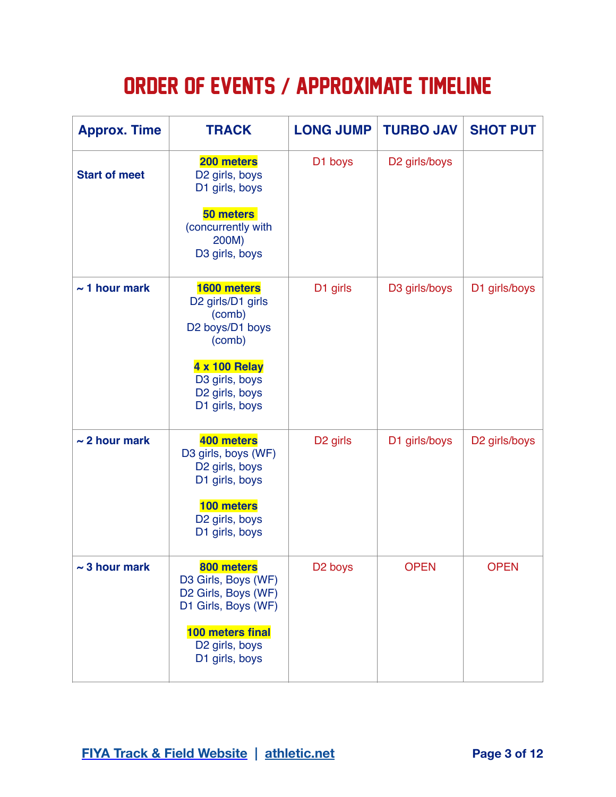# ORDER OF EVENTS **/** APPROXIMATE TIMELINE

| <b>Approx. Time</b>  | <b>TRACK</b>                                                                                                                                          | <b>LONG JUMP</b>     | <b>TURBO JAV</b>          | <b>SHOT PUT</b> |
|----------------------|-------------------------------------------------------------------------------------------------------------------------------------------------------|----------------------|---------------------------|-----------------|
| <b>Start of meet</b> | 200 meters<br>D2 girls, boys<br>D1 girls, boys<br>50 meters<br>(concurrently with<br>200M)<br>D3 girls, boys                                          | D1 boys              | D <sub>2</sub> girls/boys |                 |
| $\sim$ 1 hour mark   | 1600 meters<br>D2 girls/D1 girls<br>(comb)<br>D2 boys/D1 boys<br>(comb)<br><b>4 x 100 Relay</b><br>D3 girls, boys<br>D2 girls, boys<br>D1 girls, boys | D1 girls             | D3 girls/boys             | D1 girls/boys   |
| $\sim$ 2 hour mark   | 400 meters<br>D3 girls, boys (WF)<br>D2 girls, boys<br>D1 girls, boys<br>100 meters<br>D2 girls, boys<br>D1 girls, boys                               | D <sub>2</sub> girls | D1 girls/boys             | D2 girls/boys   |
| $\sim$ 3 hour mark   | 800 meters<br>D3 Girls, Boys (WF)<br>D2 Girls, Boys (WF)<br>D1 Girls, Boys (WF)<br>100 meters final<br>D2 girls, boys<br>D1 girls, boys               | D <sub>2</sub> boys  | <b>OPEN</b>               | <b>OPEN</b>     |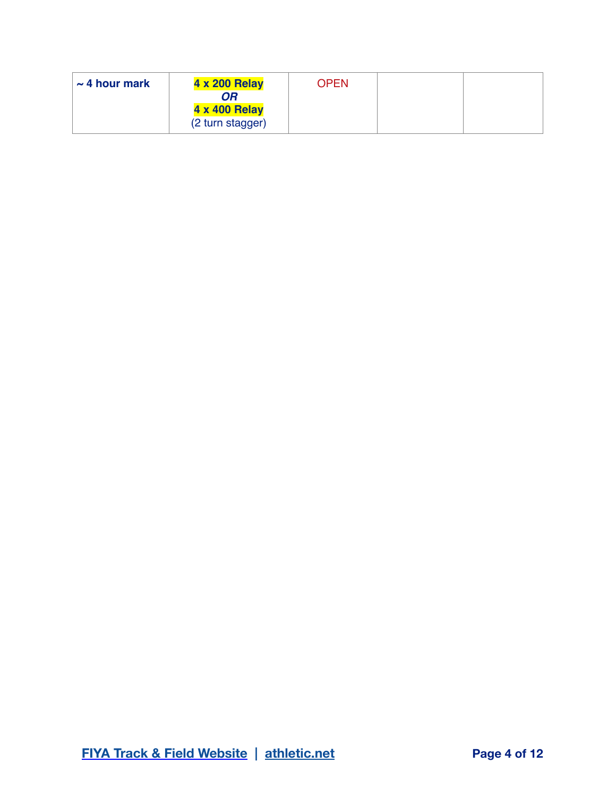| $\sim$ 4 hour mark | <b>4 x 200 Relay</b><br>OR               | <b>OPEN</b> |  |
|--------------------|------------------------------------------|-------------|--|
|                    | <b>4 x 400 Relay</b><br>(2 turn stagger) |             |  |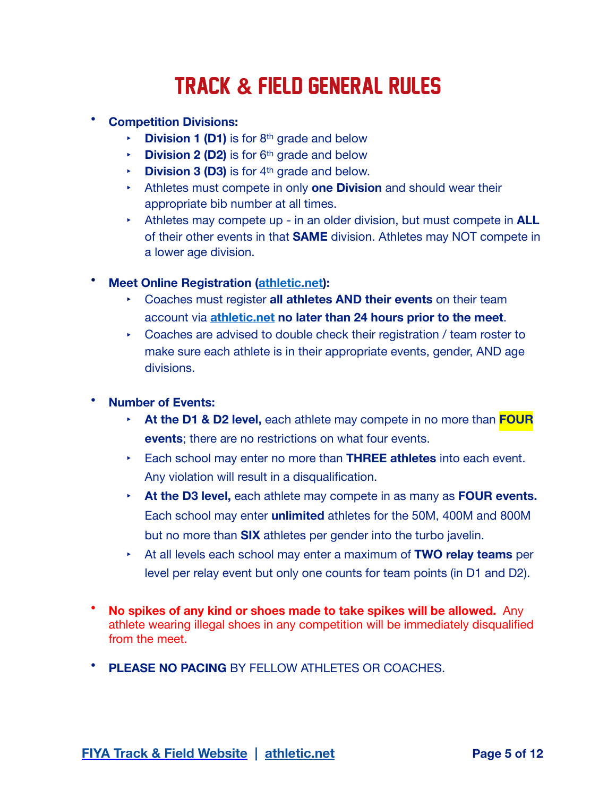# TRACK **&** FIELD GENERAL RULES

- **Competition Divisions:**
	- **Division 1 (D1)** is for 8<sup>th</sup> grade and below
	- **Division 2 (D2)** is for 6<sup>th</sup> grade and below
	- **Division 3 (D3)** is for 4<sup>th</sup> grade and below.
	- ! Athletes must compete in only **one Division** and should wear their appropriate bib number at all times.
	- ! Athletes may compete up in an older division, but must compete in **ALL** of their other events in that **SAME** division. Athletes may NOT compete in a lower age division.
- **Meet Online Registration [\(athletic.net](http://athletic.net)):** 
	- ! Coaches must register **all athletes AND their events** on their team account via **[athletic.net](http://athletic.net) no later than 24 hours prior to the meet**.
	- $\sim$  Coaches are advised to double check their registration / team roster to make sure each athlete is in their appropriate events, gender, AND age divisions.

#### • **Number of Events:**

- ! **At the D1 & D2 level,** each athlete may compete in no more than **FOUR events**; there are no restrictions on what four events.
- ! Each school may enter no more than **THREE athletes** into each event. Any violation will result in a disqualification.
- ! **At the D3 level,** each athlete may compete in as many as **FOUR events.** Each school may enter **unlimited** athletes for the 50M, 400M and 800M but no more than **SIX** athletes per gender into the turbo javelin.
- ! At all levels each school may enter a maximum of **TWO relay teams** per level per relay event but only one counts for team points (in D1 and D2).
- **No spikes of any kind or shoes made to take spikes will be allowed.** Any athlete wearing illegal shoes in any competition will be immediately disqualified from the meet.
- **PLEASE NO PACING** BY FELLOW ATHLETES OR COACHES.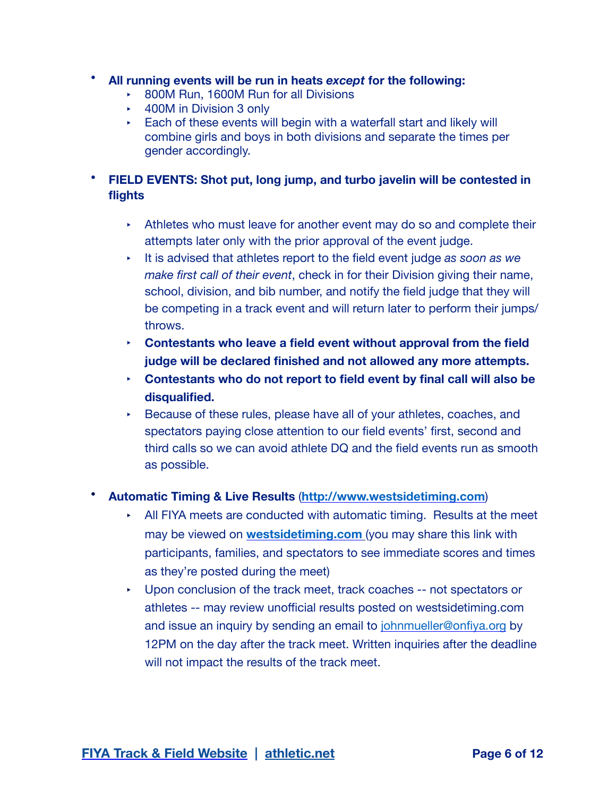- **All running events will be run in heats** *except* **for the following:** 
	- ▶ 800M Run, 1600M Run for all Divisions
	- $\cdot$  400M in Division 3 only
	- $\overline{\phantom{a}}$  Each of these events will begin with a waterfall start and likely will combine girls and boys in both divisions and separate the times per gender accordingly.

#### • **FIELD EVENTS: Shot put, long jump, and turbo javelin will be contested in flights**

- $\cdot$  Athletes who must leave for another event may do so and complete their attempts later only with the prior approval of the event judge.
- ! It is advised that athletes report to the field event judge *as soon as we make first call of their event*, check in for their Division giving their name, school, division, and bib number, and notify the field judge that they will be competing in a track event and will return later to perform their jumps/ throws.
- ! **Contestants who leave a field event without approval from the field judge will be declared finished and not allowed any more attempts.**
- ! **Contestants who do not report to field event by final call will also be disqualified.**
- ! Because of these rules, please have all of your athletes, coaches, and spectators paying close attention to our field events' first, second and third calls so we can avoid athlete DQ and the field events run as smooth as possible.

#### • **Automatic Timing & Live Results** (**<http://www.westsidetiming.com>**)

- $\blacktriangleright$  All FIYA meets are conducted with automatic timing. Results at the meet may be viewed on **[westsidetiming.com](http://westsidetiming.com)** (you may share this link with participants, families, and spectators to see immediate scores and times as they're posted during the meet)
- **Upon conclusion of the track meet, track coaches -- not spectators or** athletes -- may review unofficial results posted on westsidetiming.com and issue an inquiry by sending an email to [johnmueller@onfiya.org](mailto:johnmueller@onfiya.org) by 12PM on the day after the track meet. Written inquiries after the deadline will not impact the results of the track meet.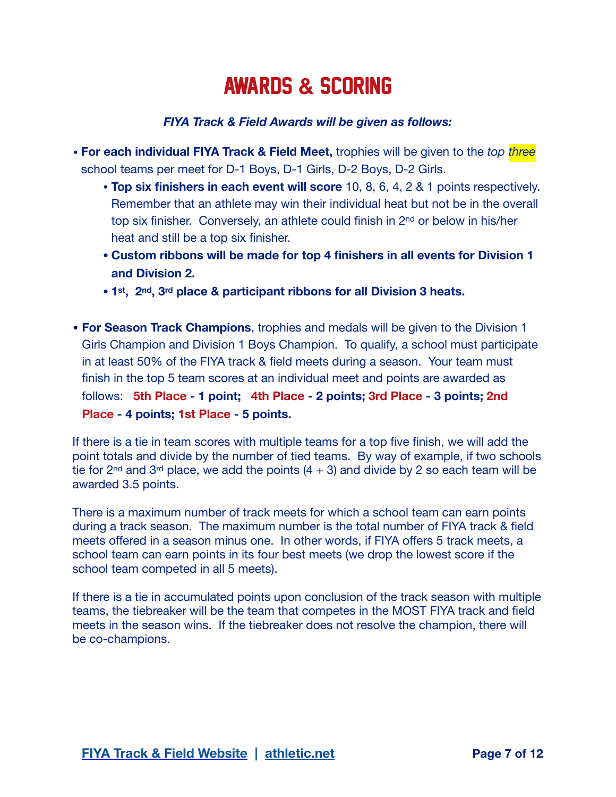## AWARDS **&** SCORING

#### *FIYA Track & Field Awards will be given as follows:*

- **For each individual FIYA Track & Field Meet,** trophies will be given to the *top three* school teams per meet for D-1 Boys, D-1 Girls, D-2 Boys, D-2 Girls.
	- **Top six finishers in each event will score** 10, 8, 6, 4, 2 & 1 points respectively. Remember that an athlete may win their individual heat but not be in the overall top six finisher. Conversely, an athlete could finish in 2nd or below in his/her heat and still be a top six finisher.
	- **• Custom ribbons will be made for top 4 finishers in all events for Division 1 and Division 2.**
	- **• 1st, 2nd, 3rd place & participant ribbons for all Division 3 heats.**
- **• For Season Track Champions**, trophies and medals will be given to the Division 1 Girls Champion and Division 1 Boys Champion. To qualify, a school must participate in at least 50% of the FIYA track & field meets during a season. Your team must finish in the top 5 team scores at an individual meet and points are awarded as follows: **5th Place - 1 point; 4th Place - 2 points; 3rd Place - 3 points; 2nd Place - 4 points; 1st Place - 5 points.**

If there is a tie in team scores with multiple teams for a top five finish, we will add the point totals and divide by the number of tied teams. By way of example, if two schools tie for 2<sup>nd</sup> and 3<sup>rd</sup> place, we add the points  $(4 + 3)$  and divide by 2 so each team will be awarded 3.5 points.

There is a maximum number of track meets for which a school team can earn points during a track season. The maximum number is the total number of FIYA track & field meets offered in a season minus one. In other words, if FIYA offers 5 track meets, a school team can earn points in its four best meets (we drop the lowest score if the school team competed in all 5 meets).

If there is a tie in accumulated points upon conclusion of the track season with multiple teams, the tiebreaker will be the team that competes in the MOST FIYA track and field meets in the season wins. If the tiebreaker does not resolve the champion, there will be co-champions.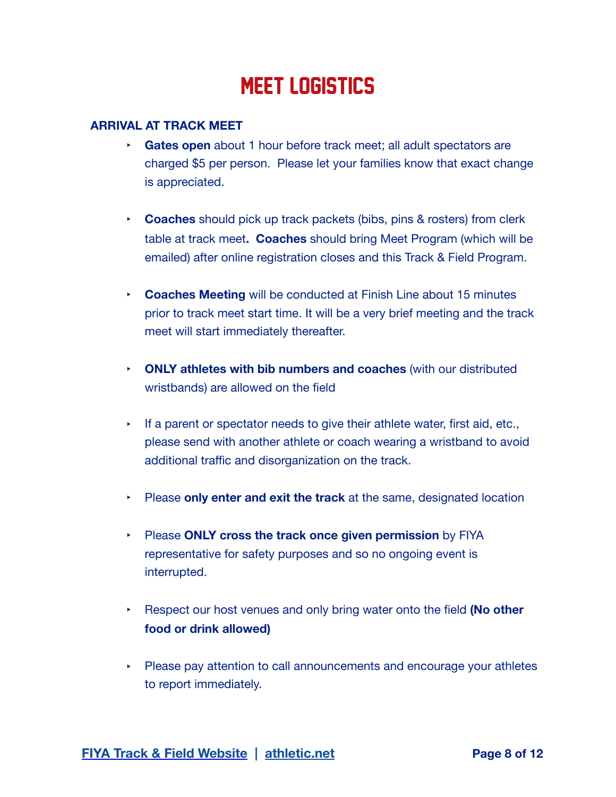### MEET LOGISTICS

#### **ARRIVAL AT TRACK MEET**

- ! **Gates open** about 1 hour before track meet; all adult spectators are charged \$5 per person. Please let your families know that exact change is appreciated.
- ! **Coaches** should pick up track packets (bibs, pins & rosters) from clerk table at track meet**. Coaches** should bring Meet Program (which will be emailed) after online registration closes and this Track & Field Program.
- **Coaches Meeting** will be conducted at Finish Line about 15 minutes prior to track meet start time. It will be a very brief meeting and the track meet will start immediately thereafter.
- ! **ONLY athletes with bib numbers and coaches** (with our distributed wristbands) are allowed on the field
- $\cdot$  If a parent or spectator needs to give their athlete water, first aid, etc., please send with another athlete or coach wearing a wristband to avoid additional traffic and disorganization on the track.
- ! Please **only enter and exit the track** at the same, designated location
- ! Please **ONLY cross the track once given permission** by FIYA representative for safety purposes and so no ongoing event is interrupted.
- ! Respect our host venues and only bring water onto the field **(No other food or drink allowed)**
- $\triangleright$  Please pay attention to call announcements and encourage your athletes to report immediately.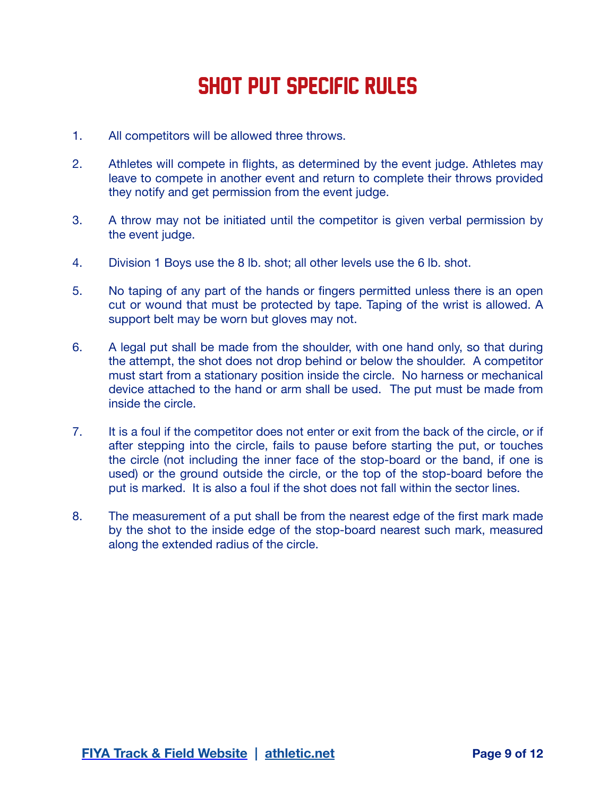# SHOT PUT SPECIFIC RULES

- 1. All competitors will be allowed three throws.
- 2. Athletes will compete in flights, as determined by the event judge. Athletes may leave to compete in another event and return to complete their throws provided they notify and get permission from the event judge.
- 3. A throw may not be initiated until the competitor is given verbal permission by the event judge.
- 4. Division 1 Boys use the 8 lb. shot; all other levels use the 6 lb. shot.
- 5. No taping of any part of the hands or fingers permitted unless there is an open cut or wound that must be protected by tape. Taping of the wrist is allowed. A support belt may be worn but gloves may not.
- 6. A legal put shall be made from the shoulder, with one hand only, so that during the attempt, the shot does not drop behind or below the shoulder. A competitor must start from a stationary position inside the circle. No harness or mechanical device attached to the hand or arm shall be used. The put must be made from inside the circle.
- 7. It is a foul if the competitor does not enter or exit from the back of the circle, or if after stepping into the circle, fails to pause before starting the put, or touches the circle (not including the inner face of the stop-board or the band, if one is used) or the ground outside the circle, or the top of the stop-board before the put is marked. It is also a foul if the shot does not fall within the sector lines.
- 8. The measurement of a put shall be from the nearest edge of the first mark made by the shot to the inside edge of the stop-board nearest such mark, measured along the extended radius of the circle.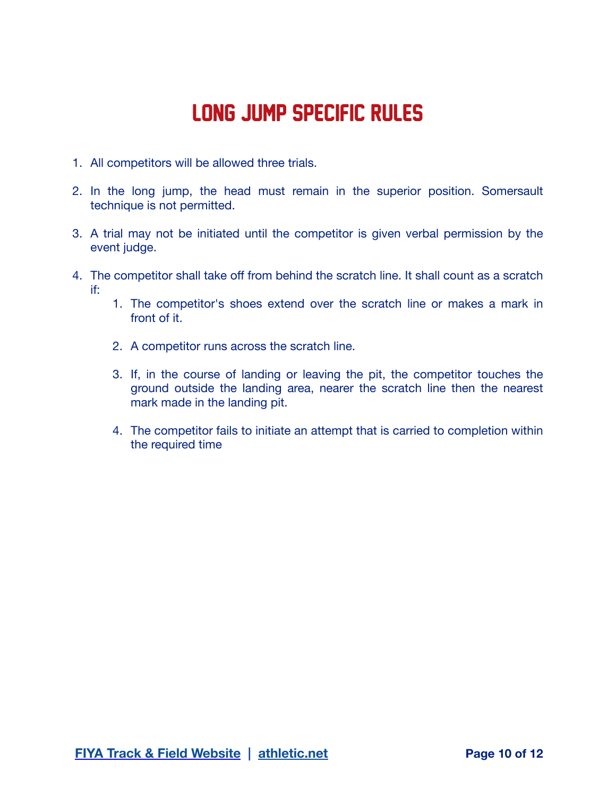### LONG JUMP SPECIFIC RULES

- 1. All competitors will be allowed three trials.
- 2. In the long jump, the head must remain in the superior position. Somersault technique is not permitted.
- 3. A trial may not be initiated until the competitor is given verbal permission by the event judge.
- 4. The competitor shall take off from behind the scratch line. It shall count as a scratch if:
	- 1. The competitor's shoes extend over the scratch line or makes a mark in front of it.
	- 2. A competitor runs across the scratch line.
	- 3. If, in the course of landing or leaving the pit, the competitor touches the ground outside the landing area, nearer the scratch line then the nearest mark made in the landing pit.
	- 4. The competitor fails to initiate an attempt that is carried to completion within the required time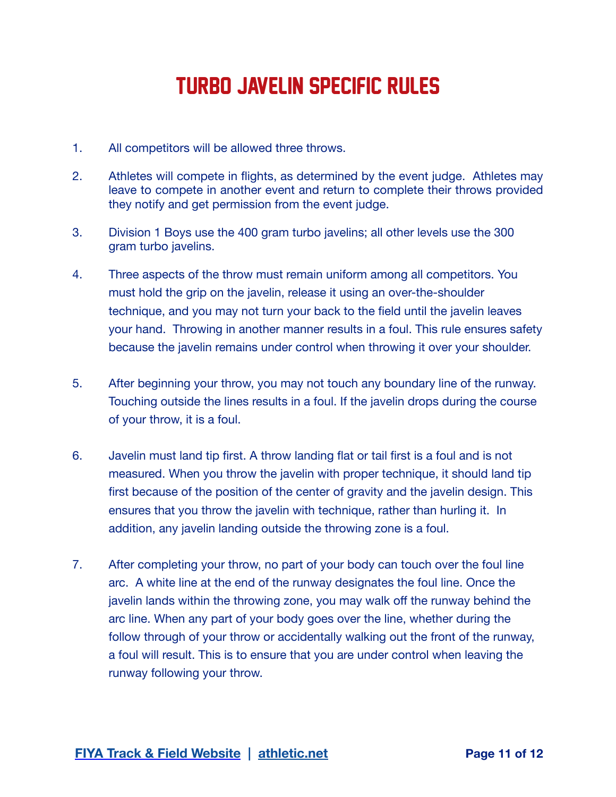## TURBO JAVELIN specific RULES

- 1. All competitors will be allowed three throws.
- 2. Athletes will compete in flights, as determined by the event judge. Athletes may leave to compete in another event and return to complete their throws provided they notify and get permission from the event judge.
- 3. Division 1 Boys use the 400 gram turbo javelins; all other levels use the 300 gram turbo javelins.
- 4. Three aspects of the throw must remain uniform among all competitors. You must hold the grip on the javelin, release it using an over-the-shoulder technique, and you may not turn your back to the field until the javelin leaves your hand. Throwing in another manner results in a foul. This rule ensures safety because the javelin remains under control when throwing it over your shoulder.
- 5. After beginning your throw, you may not touch any boundary line of the runway. Touching outside the lines results in a foul. If the javelin drops during the course of your throw, it is a foul.
- 6. Javelin must land tip first. A throw landing flat or tail first is a foul and is not measured. When you throw the javelin with proper technique, it should land tip first because of the position of the center of gravity and the javelin design. This ensures that you throw the javelin with technique, rather than hurling it. In addition, any javelin landing outside the throwing zone is a foul.
- 7. After completing your throw, no part of your body can touch over the foul line arc. A white line at the end of the runway designates the foul line. Once the javelin lands within the throwing zone, you may walk off the runway behind the arc line. When any part of your body goes over the line, whether during the follow through of your throw or accidentally walking out the front of the runway, a foul will result. This is to ensure that you are under control when leaving the runway following your throw.